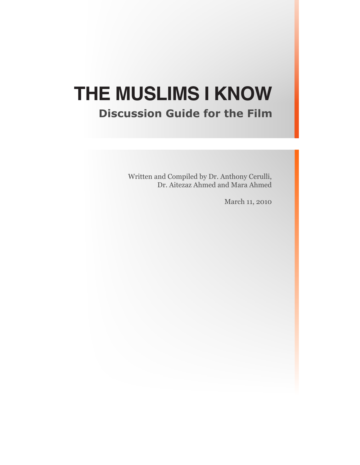# **THE MUSLIMS I KNOW**

# **Discussion Guide for the Film**

Written and Compiled by Dr. Anthony Cerulli, Dr. Aitezaz Ahmed and Mara Ahmed

March 11, 2010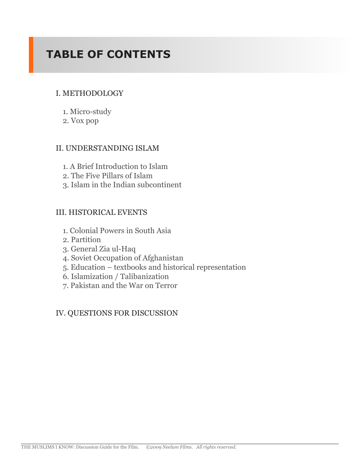# **TABLE OF CONTENTS**

# I. METHODOLOGY

- 1. Micro-study
- 2. Vox pop

# II. UNDERSTANDING ISLAM

- 1. A Brief Introduction to Islam
- 2. The Five Pillars of Islam
- 3. Islam in the Indian subcontinent

# III. HISTORICAL EVENTS

- 1. Colonial Powers in South Asia
- 2. Partition
- 3. General Zia ul-Haq
- 4. Soviet Occupation of Afghanistan
- 5. Education textbooks and historical representation
- 6. Islamization / Talibanization
- 7. Pakistan and the War on Terror

# IV. QUESTIONS FOR DISCUSSION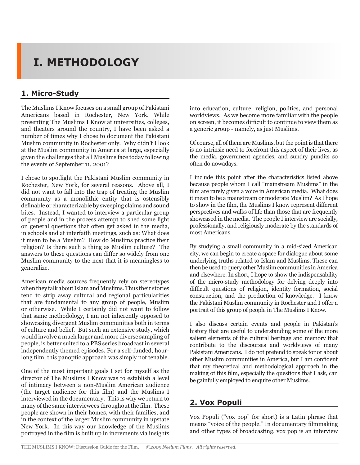# **I. METHODOLOGY**

# **1. Micro-Study**

The Muslims I Know focuses on a small group of Pakistani Americans based in Rochester, New York. While presenting The Muslims I Know at universities, colleges, and theaters around the country, I have been asked a number of times why I chose to document the Pakistani Muslim community in Rochester only. Why didn't I look at the Muslim community in America at large, especially given the challenges that all Muslims face today following the events of September 11, 2001?

I chose to spotlight the Pakistani Muslim community in Rochester, New York, for several reasons. Above all, I did not want to fall into the trap of treating the Muslim community as a monolithic entity that is ostensibly definable or characterizable by sweeping claims and sound bites. Instead, I wanted to interview a particular group of people and in the process attempt to shed some light on general questions that often get asked in the media, in schools and at interfaith meetings, such as: What does it mean to be a Muslim? How do Muslims practice their religion? Is there such a thing as Muslim culture? The answers to these questions can differ so widely from one Muslim community to the next that it is meaningless to generalize.

American media sources frequently rely on stereotypes when they talk about Islam and Muslims. Thus their stories tend to strip away cultural and regional particularities that are fundamental to any group of people, Muslim or otherwise. While I certainly did not want to follow that same methodology, I am not inherently opposed to showcasing divergent Muslim communities both in terms of culture and belief. But such an extensive study, which would involve a much larger and more diverse sampling of people, is better suited to a PBS series broadcast in several independently themed episodes. For a self-funded, hourlong film, this panoptic approach was simply not tenable.

One of the most important goals I set for myself as the director of The Muslims I Know was to establish a level of intimacy between a non-Muslim American audience (the target audience for this film) and the Muslims I interviewed in the documentary. This is why we return to many of the same interviewees throughout the film. These people are shown in their homes, with their families, and in the context of the larger Muslim community in upstate New York. In this way our knowledge of the Muslims portrayed in the film is built up in increments via insights into education, culture, religion, politics, and personal worldviews. As we become more familiar with the people on screen, it becomes difficult to continue to view them as a generic group - namely, as just Muslims.

Of course, all of them are Muslims, but the point is that there is no intrinsic need to forefront this aspect of their lives, as the media, government agencies, and sundry pundits so often do nowadays.

I include this point after the characteristics listed above because people whom I call "mainstream Muslims" in the film are rarely given a voice in American media. What does it mean to be a mainstream or moderate Muslim? As I hope to show in the film, the Muslims I know represent different perspectives and walks of life than those that are frequently showcased in the media. The people I interview are socially, professionally, and religiously moderate by the standards of most Americans.

By studying a small community in a mid-sized American city, we can begin to create a space for dialogue about some underlying truths related to Islam and Muslims. These can then be used to query other Muslim communities in America and elsewhere. In short, I hope to show the indispensability of the micro-study methodology for delving deeply into difficult questions of religion, identity formation, social construction, and the production of knowledge. I know the Pakistani Muslim community in Rochester and I offer a portrait of this group of people in The Muslims I Know.

I also discuss certain events and people in Pakistan's history that are useful to understanding some of the more salient elements of the cultural heritage and memory that contribute to the discourses and worldviews of many Pakistani Americans. I do not pretend to speak for or about other Muslim communities in America, but I am confident that my theoretical and methodological approach in the making of this film, especially the questions that I ask, can be gainfully employed to enquire other Muslims.

# **2. Vox Populi**

Vox Populi ("vox pop" for short) is a Latin phrase that means "voice of the people." In documentary filmmaking and other types of broadcasting, vox pop is an interview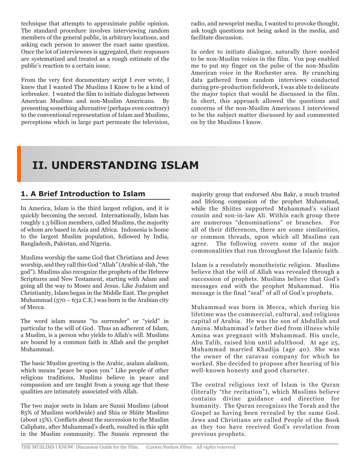technique that attempts to approximate public opinion. The standard procedure involves interviewing random members of the general public, in arbitrary locations, and asking each person to answer the exact same question. Once the lot of interviewees is aggregated, their responses are systematized and treated as a rough estimate of the public's reaction to a certain issue.

From the very first documentary script I ever wrote, I knew that I wanted The Muslims I Know to be a kind of icebreaker. I wanted the film to initiate dialogue between American Muslims and non-Muslim Americans. By presenting something alternative (perhaps even contrary) to the conventional representation of Islam and Muslims, perceptions which in large part permeate the television,

radio, and newsprint media, I wanted to provoke thought, ask tough questions not being asked in the media, and facilitate discussion.

In order to initiate dialogue, naturally there needed to be non-Muslim voices in the film. Vox pop enabled me to put my finger on the pulse of the non-Muslim American voice in the Rochester area. By crunching data gathered from random interviews conducted during pre-production fieldwork, I was able to delineate the major topics that would be discussed in the film. In short, this approach allowed the questions and concerns of the non-Muslim Americans I interviewed to be the subject matter discussed by and commented on by the Muslims I know.

# **II. UNDERSTANDING ISLAM**

# **1. A Brief Introduction to Islam**

In America, Islam is the third largest religion, and it is quickly becoming the second. Internationally, Islam has roughly 1.3 billion members, called Muslims, the majority of whom are based in Asia and Africa. Indonesia is home to the largest Muslim population, followed by India, Bangladesh, Pakistan, and Nigeria.

Muslims worship the same God that Christians and Jews worship, and they call this God "Allah" (Arabic al-ilah, "the god"). Muslims also recognize the prophets of the Hebrew Scriptures and New Testament, starting with Adam and going all the way to Moses and Jesus. Like Judaism and Christianity, Islam began in the Middle East. The prophet Muhammad (570 – 632 C.E.) was born in the Arabian city of Mecca.

The word islam means "to surrender" or "yield" in particular to the will of God. Thus an adherent of Islam, a Muslim, is a person who yields to Allah's will. Muslims are bound by a common faith in Allah and the prophet Muhammad.

The basic Muslim greeting is the Arabic, asalam alaikum, which means "peace be upon you." Like people of other religious traditions, Muslims believe in peace and compassion and are taught from a young age that these qualities are intimately associated with Allah.

The two major sects in Islam are Sunni Muslims (about 85% of Muslims worldwide) and Shia or Shiite Muslims (about 15%). Conflicts about the succession to the Muslim Caliphate, after Muhammad's death, resulted in this split in the Muslim community. The Sunnis represent the

majority group that endorsed Abu Bakr, a much trusted and lifelong companion of the prophet Muhammad, while the Shiites supported Muhammad's valiant cousin and son-in-law Ali. Within each group there are numerous "denominations" or branches. For all of their differences, there are some similarities, or common threads, upon which all Muslims can agree. The following covers some of the major commonalities that run throughout the Islamic faith.

Islam is a resolutely monotheistic religion. Muslims believe that the will of Allah was revealed through a succession of prophets. Muslims believe that God's messages end with the prophet Muhammad. His message is the final "seal" of all of God's prophets.

Muhammad was born in Mecca, which during his lifetime was the commercial, cultural, and religious capital of Arabia. He was the son of Abdullah and Amina. Muhammad's father died from illness while Amina was pregnant with Muhammad. His uncle, Abu Talib, raised him until adulthood. At age 25, Muhammad married Khadija (age 40). She was the owner of the caravan company for which he worked. She decided to propose after hearing of his well-known honesty and good character.

The central religious text of Islam is the Quran (literally "the recitation"), which Muslims believe contains divine guidance and direction for humanity. The Quran recognizes the Torah and the Gospel as having been revealed by the same God. Jews and Christians are called People of the Book as they too have received God's revelation from previous prophets.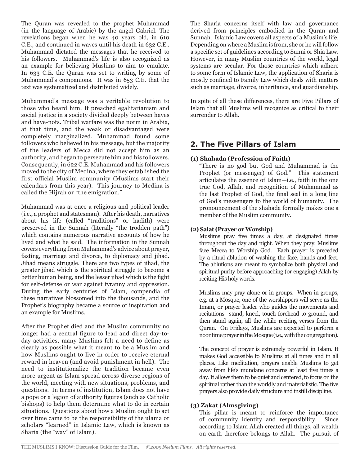The Quran was revealed to the prophet Muhammad (in the language of Arabic) by the angel Gabriel. The revelations began when he was 40 years old, in 610 C.E., and continued in waves until his death in 632 C.E.. Muhammad dictated the messages that he received to his followers. Muhammad's life is also recognized as an example for believing Muslims to aim to emulate. In 633 C.E. the Quran was set to writing by some of Muhammad's companions. It was in 653 C.E. that the text was systematized and distributed widely.

Muhammad's message was a veritable revolution to those who heard him. It preached egalitarianism and social justice in a society divided deeply between haves and have-nots. Tribal warfare was the norm in Arabia, at that time, and the weak or disadvantaged were completely marginalized. Muhammad found some followers who believed in his message, but the majority of the leaders of Mecca did not accept him as an authority, and began to persecute him and his followers. Consequently, in 622 C.E. Muhammad and his followers moved to the city of Medina, where they established the first official Muslim community (Muslims start their calendars from this year). This journey to Medina is called the Hijrah or "the emigration."

Muhammad was at once a religious and political leader (i.e., a prophet and statesman). After his death, narratives about his life (called "traditions" or hadith) were preserved in the Sunnah (literally "the trodden path") which contains numerous narrative accounts of how he lived and what he said. The information in the Sunnah covers everything from Muhammad's advice about prayer, fasting, marriage and divorce, to diplomacy and jihad. Jihad means struggle. There are two types of jihad, the greater jihad which is the spiritual struggle to become a better human being, and the lesser jihad which is the fight for self-defense or war against tyranny and oppression. During the early centuries of Islam, compendia of these narratives blossomed into the thousands, and the Prophet's biography became a source of inspiration and an example for Muslims.

After the Prophet died and the Muslim community no longer had a central figure to lead and direct day-today activities, many Muslims felt a need to define as clearly as possible what it meant to be a Muslim and how Muslims ought to live in order to receive eternal reward in heaven (and avoid punishment in hell). The need to institutionalize the tradition became even more urgent as Islam spread across diverse regions of the world, meeting with new situations, problems, and questions. In terms of institution, Islam does not have a pope or a legion of authority figures (such as Catholic bishops) to help them determine what to do in certain situations. Questions about how a Muslim ought to act over time came to be the responsibility of the ulama or scholars "learned" in Islamic Law, which is known as Sharia (the "way" of Islam).

The Sharia concerns itself with law and governance derived from principles embodied in the Quran and Sunnah. Islamic Law covers all aspects of a Muslim's life. Depending on where a Muslim is from, she or he will follow a specific set of guidelines according to Sunni or Shia Law. However, in many Muslim countries of the world, legal systems are secular. For those countries which adhere to some form of Islamic Law, the application of Sharia is mostly confined to Family Law which deals with matters such as marriage, divorce, inheritance, and guardianship.

In spite of all these differences, there are Five Pillars of Islam that all Muslims will recognize as critical to their surrender to Allah.

# **2. The Five Pillars of Islam**

### **(1) Shahada (Profession of Faith)**

"There is no god but God and Muhammad is the Prophet (or messenger) of God." This statement articulates the essence of Islam—i.e., faith in the one true God, Allah, and recognition of Muhammad as the last Prophet of God, the final seal in a long line of God's messengers to the world of humanity. The pronouncement of the shahada formally makes one a member of the Muslim community.

### **(2) Salat (Prayer or Worship)**

Muslims pray five times a day, at designated times throughout the day and night. When they pray, Muslims face Mecca to Worship God. Each prayer is preceded by a ritual ablution of washing the face, hands and feet. The ablutions are meant to symbolize both physical and spiritual purity before approaching (or engaging) Allah by reciting His holy words.

Muslims may pray alone or in groups. When in groups, e.g. at a Mosque, one of the worshippers will serve as the Imam, or prayer leader who guides the movements and recitations—stand, kneel, touch forehead to ground, and then stand again, all the while reciting verses from the Quran. On Fridays, Muslims are expected to perform a noontime prayer in the Mosque (i.e., with the congregation).

The concept of prayer is extremely powerful in Islam. It makes God accessible to Muslims at all times and in all places. Like meditation, prayers enable Muslims to get away from life's mundane concerns at least five times a day. It allows them to be quiet and centered, to focus on the spiritual rather than the worldly and materialistic. The five prayers also provide daily structure and instill discipline.

### **(3) Zakat (Almsgiving)**

This pillar is meant to reinforce the importance of community identity and responsibility. Since according to Islam Allah created all things, all wealth on earth therefore belongs to Allah. The pursuit of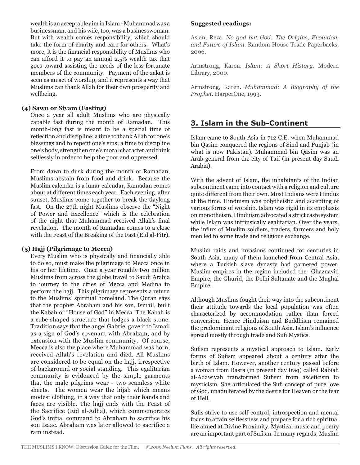wealth is an acceptable aim in Islam - Muhammad was a businessman, and his wife, too, was a businesswoman. But with wealth comes responsibility, which should take the form of charity and care for others. What's more, it is the financial responsibility of Muslims who can afford it to pay an annual 2.5% wealth tax that goes toward assisting the needs of the less fortunate members of the community. Payment of the zakat is seen as an act of worship, and it represents a way that Muslims can thank Allah for their own prosperity and wellbeing.

### **(4) Sawn or Siyam (Fasting)**

Once a year all adult Muslims who are physically capable fast during the month of Ramadan. This month-long fast is meant to be a special time of reflection and discipline; a time to thank Allah for one's blessings and to repent one's sins; a time to discipline one's body, strengthen one's moral character and think selflessly in order to help the poor and oppressed.

From dawn to dusk during the month of Ramadan, Muslims abstain from food and drink. Because the Muslim calendar is a lunar calendar, Ramadan comes about at different times each year. Each evening, after sunset, Muslims come together to break the daylong fast. On the 27th night Muslims observe the "Night of Power and Excellence" which is the celebration of the night that Muhammad received Allah's final revelation. The month of Ramadan comes to a close with the Feast of the Breaking of the Fast (Eid al-Fitr).

### **(5) Hajj (Pilgrimage to Mecca)**

Every Muslim who is physically and financially able to do so, must make the pilgrimage to Mecca once in his or her lifetime. Once a year roughly two million Muslims from across the globe travel to Saudi Arabia to journey to the cities of Mecca and Medina to perform the hajj. This pilgrimage represents a return to the Muslims' spiritual homeland. The Quran says that the prophet Abraham and his son, Ismail, built the Kabah or "House of God" in Mecca. The Kabah is a cube-shaped structure that lodges a black stone. Tradition says that the angel Gabriel gave it to Ismail as a sign of God's covenant with Abraham, and by extension with the Muslim community. Of course, Mecca is also the place where Muhammad was born, received Allah's revelation and died. All Muslims are considered to be equal on the hajj, irrespective of background or social standing. This egalitarian community is evidenced by the simple garments that the male pilgrims wear - two seamless white sheets. The women wear the hijab which means modest clothing, in a way that only their hands and faces are visible. The hajj ends with the Feast of the Sacrifice (Eid al-Adha), which commemorates God's initial command to Abraham to sacrifice his son Isaac. Abraham was later allowed to sacrifice a ram instead.

### **Suggested readings:**

Aslan, Reza. *No god but God: The Origins, Evolution, and Future of Islam.* Random House Trade Paperbacks, 2006.

Armstrong, Karen. *Islam: A Short History.* Modern Library, 2000.

Armstrong, Karen. *Muhammad: A Biography of the Prophet.* HarperOne, 1993.

### **3. Islam in the Sub-Continent**

Islam came to South Asia in 712 C.E. when Muhammad bin Qasim conquered the regions of Sind and Punjab (in what is now Pakistan). Muhammad bin Qasim was an Arab general from the city of Taif (in present day Saudi Arabia).

With the advent of Islam, the inhabitants of the Indian subcontinent came into contact with a religion and culture quite different from their own. Most Indians were Hindus at the time. Hinduism was polytheistic and accepting of various forms of worship. Islam was rigid in its emphasis on monotheism. Hinduism advocated a strict caste system while Islam was intrinsically egalitarian. Over the years, the influx of Muslim soldiers, traders, farmers and holy men led to some trade and religious exchange.

Muslim raids and invasions continued for centuries in South Asia, many of them launched from Central Asia, where a Turkish slave dynasty had garnered power. Muslim empires in the region included the Ghaznavid Empire, the Ghurid, the Delhi Sultanate and the Mughal Empire.

Although Muslims fought their way into the subcontinent their attitude towards the local population was often characterized by accommodation rather than forced conversion. Hence Hinduism and Buddhism remained the predominant religions of South Asia. Islam's influence spread mostly through trade and Sufi Mystics.

Sufism represents a mystical approach to Islam. Early forms of Sufism appeared about a century after the birth of Islam. However, another century passed before a woman from Basra (in present day Iraq) called Rabiah al-Adawiyah transformed Sufism from asceticism to mysticism. She articulated the Sufi concept of pure love of God, unadulterated by the desire for Heaven or the fear of Hell.

Sufis strive to use self-control, introspection and mental focus to attain selflessness and prepare for a rich spiritual life aimed at Divine Proximity. Mystical music and poetry are an important part of Sufism. In many regards, Muslim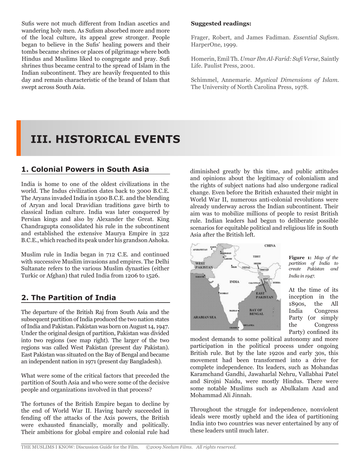Sufis were not much different from Indian ascetics and wandering holy men. As Sufism absorbed more and more of the local culture, its appeal grew stronger. People began to believe in the Sufis' healing powers and their tombs became shrines or places of pilgrimage where both Hindus and Muslims liked to congregate and pray. Sufi shrines thus became central to the spread of Islam in the Indian subcontinent. They are heavily frequented to this day and remain characteristic of the brand of Islam that swept across South Asia.

#### **Suggested readings:**

Frager, Robert, and James Fadiman. *Essential Sufism.*  HarperOne, 1999.

Homerin, Emil Th. *Umar Ibn Al-Farid: Sufi Verse,* Saintly Life. Paulist Press, 2001.

Schimmel, Annemarie. *Mystical Dimensions of Islam.*  The University of North Carolina Press, 1978.

# **III. HISTORICAL EVENTS**

### **1. Colonial Powers in South Asia**

India is home to one of the oldest civilizations in the world. The Indus civilization dates back to 3000 B.C.E. The Aryans invaded India in 1500 B.C.E. and the blending of Aryan and local Dravidian traditions gave birth to classical Indian culture. India was later conquered by Persian kings and also by Alexander the Great. King Chandragupta consolidated his rule in the subcontinent and established the extensive Maurya Empire in 322 B.C.E., which reached its peak under his grandson Ashoka.

Muslim rule in India began in 712 C.E. and continued with successive Muslim invasions and empires. The Delhi Sultanate refers to the various Muslim dynasties (either Turkic or Afghan) that ruled India from 1206 to 1526.

### **2. The Partition of India**

The departure of the British Raj from South Asia and the subsequent partition of India produced the two nation states of India and Pakistan. Pakistan was born on August 14, 1947. Under the original design of partition, Pakistan was divided into two regions (see map right). The larger of the two regions was called West Pakistan (present day Pakistan). East Pakistan was situated on the Bay of Bengal and became an independent nation in 1971 (present day Bangladesh).

What were some of the critical factors that preceded the partition of South Asia and who were some of the decisive people and organizations involved in that process?

The fortunes of the British Empire began to decline by the end of World War II. Having barely succeeded in fending off the attacks of the Axis powers, the British were exhausted financially, morally and politically. Their ambitions for global empire and colonial rule had

diminished greatly by this time, and public attitudes and opinions about the legitimacy of colonialism and the rights of subject nations had also undergone radical change. Even before the British exhausted their might in World War II, numerous anti-colonial revolutions were already underway across the Indian subcontinent. Their aim was to mobilize millions of people to resist British rule. Indian leaders had begun to deliberate possible scenarios for equitable political and religious life in South Asia after the British left.



**Figure 1:** *Map of the partition of India to create Pakistan and India in 1947.*

At the time of its inception in the 1890s, the All India Congress Party (or simply the Congress Party) confined its

modest demands to some political autonomy and more participation in the political process under ongoing British rule. But by the late 1920s and early 30s, this movement had been transformed into a drive for complete independence. Its leaders, such as Mohandas Karamchand Gandhi, Jawaharlal Nehru, Vallabhai Patel and Sirojni Naidu, were mostly Hindus. There were some notable Muslims such as Abulkalam Azad and Mohammad Ali Jinnah.

Throughout the struggle for independence, nonviolent ideals were mostly upheld and the idea of partitioning India into two countries was never entertained by any of these leaders until much later.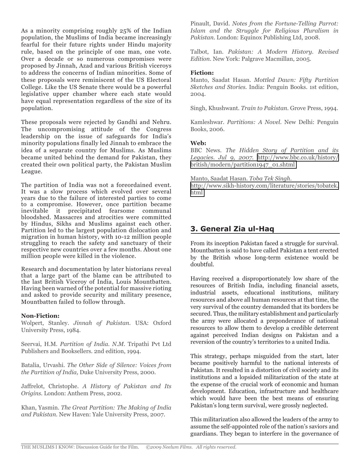As a minority comprising roughly 25% of the Indian population, the Muslims of India became increasingly fearful for their future rights under Hindu majority rule, based on the principle of one man, one vote. Over a decade or so numerous compromises were proposed by Jinnah, Azad and various British viceroys to address the concerns of Indian minorities. Some of these proposals were reminiscent of the US Electoral College. Like the US Senate there would be a powerful legislative upper chamber where each state would have equal representation regardless of the size of its population.

These proposals were rejected by Gandhi and Nehru. The uncompromising attitude of the Congress leadership on the issue of safeguards for India's minority populations finally led Jinnah to embrace the idea of a separate country for Muslims. As Muslims became united behind the demand for Pakistan, they created their own political party, the Pakistan Muslim League.

The partition of India was not a foreordained event. It was a slow process which evolved over several years due to the failure of interested parties to come to a compromise. However, once partition became inevitable it precipitated fearsome communal bloodshed. Massacres and atrocities were committed by Hindus, Sikhs and Muslims against each other. Partition led to the largest population dislocation and migration in human history, with 10-12 million people struggling to reach the safety and sanctuary of their respective new countries over a few months. About one million people were killed in the violence.

Research and documentation by later historians reveal that a large part of the blame can be attributed to the last British Viceroy of India, Louis Mountbatten. Having been warned of the potential for massive rioting and asked to provide security and military presence, Mountbatten failed to follow through.

#### **Non-Fiction:**

Wolpert, Stanley. *Jinnah of Pakistan.* USA: Oxford University Press, 1984.

Seervai, H.M. *Partition of India. N.M.* Tripathi Pvt Ltd Publishers and Booksellers. 2nd edition, 1994.

Batalia, Urvashi. *The Other Side of Silence: Voices from the Partition of India,* Duke University Press, 2000.

Jaffrelot, Christophe. *A History of Pakistan and Its Origins.* London: Anthem Press, 2002.

Khan, Yasmin. *The Great Partition: The Making of India and Pakistan.* New Haven: Yale University Press, 2007.

Pinault, David. *Notes from the Fortune-Telling Parrot: Islam and the Struggle for Religious Pluralism in Pakistan.* London: Equinox Publishing Ltd, 2008.

Talbot, Ian. *Pakistan: A Modern History. Revised Edition.* New York: Palgrave Macmillan, 2005.

#### **Fiction:**

Manto, Saadat Hasan. *Mottled Dawn: Fifty Partition Sketches and Stories.* India: Penguin Books. 1st edition, 2004.

Singh, Khushwant. *Train to Pakistan.* Grove Press, 1994.

Kamleshwar. *Partitions: A Novel.* New Delhi: Penguin Books, 2006.

#### **Web:**

BBC News. *The Hidden Story of Partition and its Legacies. Jul 9, 2007.* [http://www.bbc.co.uk/history/](http://www.bbc.co.uk/history/british/modern/partition1947_01.shtml) [british/modern/partition1947\\_01.shtml](http://www.bbc.co.uk/history/british/modern/partition1947_01.shtml)

Manto, Saadat Hasan. *Toba Tek Singh.* [http://www.sikh-history.com/literature/stories/tobatek.](http://www.sikh-history.com/literature/stories/tobatek.html) [html](http://www.sikh-history.com/literature/stories/tobatek.html)

### **3. General Zia ul-Haq**

From its inception Pakistan faced a struggle for survival. Mountbatten is said to have called Pakistan a tent erected by the British whose long-term existence would be doubtful.

Having received a disproportionately low share of the resources of British India, including financial assets, industrial assets, educational institutions, military resources and above all human resources at that time, the very survival of the country demanded that its borders be secured. Thus, the military establishment and particularly the army were allocated a preponderance of national resources to allow them to develop a credible deterrent against perceived Indian designs on Pakistan and a reversion of the country's territories to a united India.

This strategy, perhaps misguided from the start, later became positively harmful to the national interests of Pakistan. It resulted in a distortion of civil society and its institutions and a lopsided militarization of the state at the expense of the crucial work of economic and human development. Education, infrastructure and healthcare which would have been the best means of ensuring Pakistan's long term survival, were grossly neglected.

This militarization also allowed the leaders of the army to assume the self-appointed role of the nation's saviors and guardians. They began to interfere in the governance of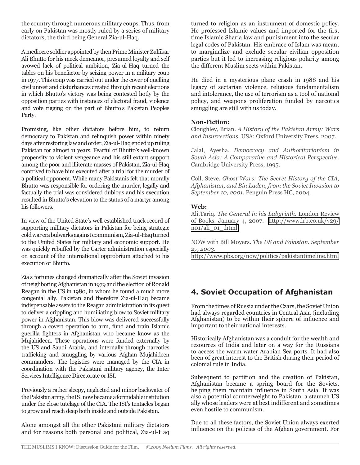the country through numerous military coups. Thus, from early on Pakistan was mostly ruled by a series of military dictators, the third being General Zia-ul-Haq.

A mediocre soldier appointed by then Prime Minister Zulfikar Ali Bhutto for his meek demeanor, presumed loyalty and self avowed lack of political ambition, Zia-ul-Haq turned the tables on his benefactor by seizing power in a military coup in 1977. This coup was carried out under the cover of quelling civil unrest and disturbances created through recent elections in which Bhutto's victory was being contested hotly by the opposition parties with instances of electoral fraud, violence and vote rigging on the part of Bhutto's Pakistan Peoples Party.

Promising, like other dictators before him, to return democracy to Pakistan and relinquish power within ninety days after restoring law and order, Zia-ul-Haq ended up ruling Pakistan for almost 11 years. Fearful of Bhutto's well-known propensity to violent vengeance and his still extant support among the poor and illiterate masses of Pakistan, Zia-ul-Haq contrived to have him executed after a trial for the murder of a political opponent. While many Pakistanis felt that morally Bhutto was responsible for ordering the murder, legally and factually the trial was considered dubious and his execution resulted in Bhutto's elevation to the status of a martyr among his followers.

In view of the United State's well established track record of supporting military dictators in Pakistan for being strategic cold war era bulwarks against communism, Zia-ul-Haq turned to the United States for military and economic support. He was quickly rebuffed by the Carter administration especially on account of the international opprobrium attached to his execution of Bhutto.

Zia's fortunes changed dramatically after the Soviet invasion of neighboring Afghanistan in 1979 and the election of Ronald Reagan in the US in 1980, in whom he found a much more congenial ally. Pakistan and therefore Zia-ul-Haq became indispensable assets to the Reagan administration in its quest to deliver a crippling and humiliating blow to Soviet military power in Afghanistan. This blow was delivered successfully through a covert operation to arm, fund and train Islamic guerilla fighters in Afghanistan who became know as the Mujahideen. These operations were funded externally by the US and Saudi Arabia, and internally through narcotics trafficking and smuggling by various Afghan Mujahideen commanders. The logistics were managed by the CIA in coordination with the Pakistani military agency, the Inter Services Intelligence Directorate or ISI.

Previously a rather sleepy, neglected and minor backwater of the Pakistan army, the ISI now became a formidable institution under the close tutelage of the CIA. The ISI's tentacles began to grow and reach deep both inside and outside Pakistan.

Alone amongst all the other Pakistani military dictators and for reasons both personal and political, Zia-ul-Haq turned to religion as an instrument of domestic policy. He professed Islamic values and imported for the first time Islamic Sharia law and punishment into the secular legal codes of Pakistan. His embrace of Islam was meant to marginalize and exclude secular civilian opposition parties but it led to increasing religious polarity among the different Muslim sects within Pakistan.

He died in a mysterious plane crash in 1988 and his legacy of sectarian violence, religious fundamentalism and intolerance, the use of terrorism as a tool of national policy, and weapons proliferation funded by narcotics smuggling are still with us today.

### **Non-Fiction:**

Cloughley, Brian. *A History of the Pakistan Army: Wars and Insurrections.* USA: Oxford University Press, 2007.

Jalal, Ayesha. *Democracy and Authoritarianism in South Asia: A Comparative and Historical Perspective.*  Cambridge University Press, 1995.

Coll, Steve. *Ghost Wars: The Secret History of the CIA, Afghanistan, and Bin Laden, from the Soviet Invasion to September 10, 2001.* Penguin Press HC, 2004.

### **Web:**

Ali,Tariq. *The General in his Labyrinth.* London Review of Books. January 4, 2007. [http://www.lrb.co.uk/v29/](http://www.lrb.co.uk/v29/n01/ali_01_.html) [n01/ali\\_01\\_.html](http://www.lrb.co.uk/v29/n01/ali_01_.html)

NOW with Bill Moyers. *The US and Pakistan. September 27, 2003.*

<http://www.pbs.org/now/politics/pakistantimeline.html>

# **4. Soviet Occupation of Afghanistan**

From the times of Russia under the Czars, the Soviet Union had always regarded countries in Central Asia (including Afghanistan) to be within their sphere of influence and important to their national interests.

Historically Afghanistan was a conduit for the wealth and resources of India and later on a way for the Russians to access the warm water Arabian Sea ports. It had also been of great interest to the British during their period of colonial rule in India.

Subsequent to partition and the creation of Pakistan, Afghanistan became a spring board for the Soviets, helping them maintain influence in South Asia. It was also a potential counterweight to Pakistan, a staunch US ally whose leaders were at best indifferent and sometimes even hostile to communism.

Due to all these factors, the Soviet Union always exerted influence on the policies of the Afghan government. For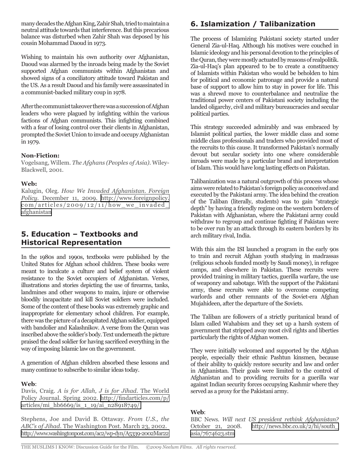many decades the Afghan King, Zahir Shah, tried to maintain a neutral attitude towards that interference. But this precarious balance was disturbed when Zahir Shah was deposed by his cousin Mohammad Daoud in 1973.

Wishing to maintain his own authority over Afghanistan, Daoud was alarmed by the inroads being made by the Soviet supported Afghan communists within Afghanistan and showed signs of a conciliatory attitude toward Pakistan and the US. As a result Daoud and his family were assassinated in a communist-backed military coup in 1978.

After the communist takeover there was a succession of Afghan leaders who were plagued by infighting within the various factions of Afghan communists. This infighting combined with a fear of losing control over their clients in Afghanistan, prompted the Soviet Union to invade and occupy Afghanistan in 1979.

### **Non-Fiction:**

Vogelsang, Willem. *The Afghans (Peoples of Asia).* Wiley-Blackwell, 2001.

### **Web:**

Kalugin, Oleg. *How We Invaded Afghanistan. Foreign Policy.* December 11, 2009. [http://www.foreignpolicy.](http://www.foreignpolicy.com/articles/2009/12/11/how_we_invaded_afghanistan)  $com/articles/2009/12/11/how$  we invaded [afghanistan](http://www.foreignpolicy.com/articles/2009/12/11/how_we_invaded_afghanistan)

### **5. Education – Textbooks and Historical Representation**

In the 1980s and 1990s, textbooks were published by the United States for Afghan school children. These books were meant to inculcate a culture and belief system of violent resistance to the Soviet occupiers of Afghanistan. Verses, illustrations and stories depicting the use of firearms, tanks, landmines and other weapons to maim, injure or otherwise bloodily incapacitate and kill Soviet soldiers were included. Some of the content of these books was extremely graphic and inappropriate for elementary school children. For example, there was the picture of a decapitated Afghan soldier, equipped with bandolier and Kalashnikov. A verse from the Quran was inscribed above the soldier's body. Text underneath the picture praised the dead soldier for having sacrificed everything in the way of imposing Islamic law on the government.

A generation of Afghan children absorbed these lessons and many continue to subscribe to similar ideas today.

#### **Web**:

Davis, Craig. *A is for Allah, J is for Jihad*. The World Policy Journal. Spring 2002. [http://findarticles.com/p/](http://findarticles.com/p/articles/mi_hb6669/is_1_19/ai_n28918749/) [articles/mi\\_hb6669/is\\_1\\_19/ai\\_n28918749/](http://findarticles.com/p/articles/mi_hb6669/is_1_19/ai_n28918749/)

Stephens, Joe and David B. Ottaway. *From U.S., the ABC's of Jihad.* The Washington Post. March 23, 2002. <http://www.washingtonpost.com/ac2/wp-dyn/A5339-2002Mar22>

# **6. Islamization / Talibanization**

The process of Islamizing Pakistani society started under General Zia-ul-Haq. Although his motives were couched in Islamic ideology and his personal devotion to the principles of the Quran, they were mostly actuated by reasons of realpolitik. Zia-ul-Haq's plan appeared to be to create a constituency of Islamists within Pakistan who would be beholden to him for political and economic patronage and provide a natural base of support to allow him to stay in power for life. This was a shrewd move to counterbalance and neutralize the traditional power centers of Pakistani society including the landed oligarchy, civil and military bureaucracies and secular political parties.

This strategy succeeded admirably and was embraced by Islamist political parties, the lower middle class and some middle class professionals and traders who provided most of the recruits to this cause. It transformed Pakistan's normally devout but secular society into one where considerable inroads were made by a particular brand and interpretation of Islam. This would have long lasting effects on Pakistan.

Talibanization was a natural outgrowth of this process whose aims were related to Pakistan's foreign policy as conceived and executed by the Pakistani army. The idea behind the creation of the Taliban (literally, students) was to gain "strategic depth" by having a friendly regime on the western borders of Pakistan with Afghanistan, where the Pakistani army could withdraw to regroup and continue fighting if Pakistan were to be over run by an attack through its eastern borders by its arch military rival, India.

With this aim the ISI launched a program in the early 90s to train and recruit Afghan youth studying in madrassas (religious schools funded mostly by Saudi money), in refugee camps, and elsewhere in Pakistan. These recruits were provided training in military tactics, guerilla warfare, the use of weaponry and sabotage. With the support of the Pakistani army, these recruits were able to overcome competing warlords and other remnants of the Soviet-era Afghan Mujahideen, after the departure of the Soviets.

The Taliban are followers of a strictly puritanical brand of Islam called Wahabism and they set up a harsh system of government that stripped away most civil rights and liberties particularly the rights of Afghan women.

They were initially welcomed and supported by the Afghan people, especially their ethnic Pashtun kinsmen, because of their ability to quickly restore security and law and order in Afghanistan. Their goals were limited to the control of Afghanistan and to providing recruits for a guerilla war against Indian security forces occupying Kashmir where they served as a proxy for the Pakistani army.

#### **Web**:

BBC News. *Will next US president rethink Afghanistan?*  October 21, 2008. [http://news.bbc.co.uk/2/hi/south\\_](http://news.bbc.co.uk/2/hi/south_asia/7674623.stm) [asia/7674623.stm](http://news.bbc.co.uk/2/hi/south_asia/7674623.stm)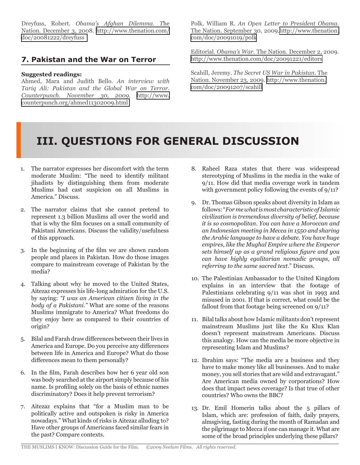Dreyfuss, Robert. *Obama's Afghan Dilemma. T*he Nation. December 3, 2008. [http://www.thenation.com/](http://www.thenation.com/doc/20081222/dreyfuss) [doc/20081222/dreyfuss](http://www.thenation.com/doc/20081222/dreyfuss) 

### **7. Pakistan and the War on Terror**

### **Suggested readings:**

Ahmed, Mara and Judith Bello. *An interview with Tariq Ali: Pakistan and the Global War on Terror. Counterpunch. November 30, 2009.* [http://www.](http://www.counterpunch.org/ahmed11302009.html) [counterpunch.org/ahmed11302009.html](http://www.counterpunch.org/ahmed11302009.html)

Polk, William R. *An Open Letter to President Obama.*  The Nation. September 30, 2009[.http://www.thenation.](http://www.thenation.com/doc/20091019/polk) [com/doc/20091019/polk](http://www.thenation.com/doc/20091019/polk)

Editorial. *Obama's War.* The Nation. December 2, 2009. <http://www.thenation.com/doc/20091221/editors>

Scahill, Jeremy. *The Secret US War in Pakistan.* The Nation. November 23, 2009. [http://www.thenation.](http://www.thenation.com/doc/20091207/scahill) [com/doc/20091207/scahill](http://www.thenation.com/doc/20091207/scahill)

# **III. QUESTIONS FOR GENERAL DISCUSSION**

- 1. The narrator expresses her discomfort with the term moderate Muslim: "The need to identify militant jihadists by distinguishing them from moderate Muslims had cast suspicion on all Muslims in America." Discuss.
- 2. The narrator claims that she cannot pretend to represent 1.3 billion Muslims all over the world and that is why the film focuses on a small community of Pakistani Americans. Discuss the validity/usefulness of this approach.
- 3. In the beginning of the film we are shown random people and places in Pakistan. How do those images compare to mainstream coverage of Pakistan by the media?
- 4. Talking about why he moved to the United States, Aitezaz expresses his life-long admiration for the U.S. by saying: *"I was an American citizen living in the body of a Pakistani."* What are some of the reasons Muslims immigrate to America? What freedoms do they enjoy here as compared to their countries of origin?
- 5. Bilal and Farah draw differences between their lives in America and Europe. Do you perceive any differences between life in America and Europe? What do those differences mean to them personally?
- 6. In the film, Farah describes how her 6 year old son was body searched at the airport simply because of his name. Is profiling solely on the basis of ethnic names discriminatory? Does it help prevent terrorism?
- 7. Aitezaz explains that "for a Muslim man to be politically active and outspoken is risky in America nowadays." What kinds of risks is Aitezaz alluding to? Have other groups of Americans faced similar fears in the past? Compare contexts.
- 8. Raheel Raza states that there was widespread stereotyping of Muslims in the media in the wake of 9/11. How did that media coverage work in tandem with government policy following the events of 9/11?
- 9. Dr. Thomas Gibson speaks about diversity in Islam as follows: "*For me what is most characteristic of Islamic civilization is tremendous diversity of belief, because it is so cosmopolitan. You can have a Moroccan and an Indonesian meeting in Mecca in 1550 and sharing the Arabic language to have a debate. You have huge empires, like the Mughal Empire where the Emperor sets himself up as a grand religious figure and you can have highly egalitarian nomadic groups, all referring to the same sacred text*." Discuss.
- 10. The Palestinian Ambassador to the United Kingdom explains in an interview that the footage of Palestinians celebrating 9/11 was shot in 1993 and misused in 2001. If that is correct, what could be the fallout from that footage being screened on 9/11?
- 11. Bilal talks about how Islamic militants don't represent mainstream Muslims just like the Ku Klux Klan doesn't represent mainstream Americans. Discuss this analogy. How can the media be more objective in representing Islam and Muslims?
- 12. Ibrahim says: "The media are a business and they have to make money like all businesses. And to make money, you sell stories that are wild and extravagant." Are American media owned by corporations? How does that impact news coverage? Is that true of other countries? Who owns the BBC?
- 13. Dr. Emil Homerin talks about the 5 pillars of Islam, which are: profession of faith, daily prayers, almsgiving, fasting during the month of Ramadan and the pilgrimage to Mecca if one can manage it. What are some of the broad principles underlying these pillars?